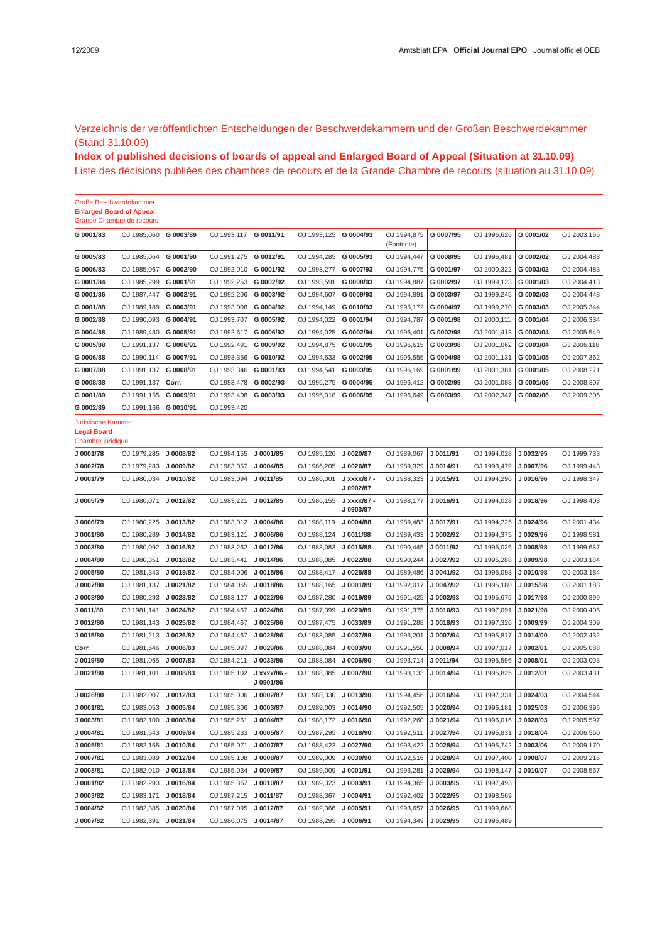Verzeichnis der veröffentlichten Entscheidungen der Beschwerdekammern und der Großen Beschwerdekammer (Stand 31.10.09)

**Index of published decisions of boards of appeal and Enlarged Board of Appeal (Situation at 31.10.09)** Liste des décisions publiées des chambres de recours et de la Grande Chambre de recours (situation au 31.10.09 )

|                                                               | Große Beschwerdekammer           |           |                         |                          |                         |                          |                           |           |             |           |             |
|---------------------------------------------------------------|----------------------------------|-----------|-------------------------|--------------------------|-------------------------|--------------------------|---------------------------|-----------|-------------|-----------|-------------|
|                                                               | <b>Enlarged Board of Appeal</b>  |           |                         |                          |                         |                          |                           |           |             |           |             |
|                                                               | <b>Grande Chambre de recours</b> |           |                         |                          |                         |                          |                           |           |             |           |             |
| G 0001/83                                                     | OJ 1985,060                      | G 0003/89 | OJ 1993,117             | G 0011/91                | OJ 1993,125             | G 0004/93                | OJ 1994,875<br>(Footnote) | G 0007/95 | OJ 1996,626 | G 0001/02 | OJ 2003,165 |
| G 0005/83                                                     | OJ 1985,064                      | G 0001/90 | OJ 1991,275             | G 0012/91                | OJ 1994,285             | G 0005/93                | OJ 1994,447               | G 0008/95 | OJ 1996,481 | G 0002/02 | OJ 2004,483 |
| G 0006/83                                                     | OJ 1985,067                      | G 0002/90 | OJ 1992,010             | G 0001/92                | OJ 1993,277             | G 0007/93                | OJ 1994,775               | G 0001/97 | OJ 2000,322 | G 0003/02 | OJ 2004,483 |
| G 0001/84                                                     | OJ 1985,299                      | G 0001/91 | OJ 1992,253             | G 0002/92                | OJ 1993,591             | G 0008/93                | OJ 1994,887               | G 0002/97 | OJ 1999,123 | G 0001/03 | OJ 2004,413 |
| G 0001/86                                                     | OJ 1987,447                      | G 0002/91 | OJ 1992,206             | G 0003/92                | OJ 1994,607             | G 0009/93                | OJ 1994,891               | G 0003/97 | OJ 1999,245 | G 0002/03 | OJ 2004,448 |
| G 0001/88                                                     | OJ 1989,189                      | G 0003/91 | OJ 1993,008             | G 0004/92                | OJ 1994,149             | G 0010/93                | OJ 1995,172               | G 0004/97 | OJ 1999,270 | G 0003/03 | OJ 2005,344 |
| G 0002/88                                                     | OJ 1990,093                      | G 0004/91 | OJ 1993,707             | G 0005/92                | OJ 1994,022             | G 0001/94                | OJ 1994,787               | G 0001/98 | OJ 2000,111 | G 0001/04 | OJ 2006,334 |
| G 0004/88                                                     | OJ 1989,480                      | G 0005/91 | OJ 1992,617             | G 0006/92                | OJ 1994,025             | G 0002/94                | OJ 1996,401               | G 0002/98 | OJ 2001,413 | G 0002/04 | OJ 2005,549 |
| G 0005/88                                                     | OJ 1991,137                      | G 0006/91 | OJ 1992,491             | G 0009/92                | OJ 1994,875             | G 0001/95                | OJ 1996,615               | G 0003/98 | OJ 2001,062 | G 0003/04 | OJ 2006,118 |
| G 0006/88                                                     | OJ 1990,114                      | G 0007/91 | OJ 1993,356             | G 0010/92                | OJ 1994,633             | G 0002/95                | OJ 1996,555               | G 0004/98 | OJ 2001,131 | G 0001/05 | OJ 2007,362 |
|                                                               |                                  |           |                         |                          |                         |                          |                           |           |             |           |             |
| G 0007/88                                                     | OJ 1991,137                      | G 0008/91 | OJ 1993,346             | G 0001/93                | OJ 1994,541             | G 0003/95                | OJ 1996,169               | G 0001/99 | OJ 2001,381 | G 0001/05 | OJ 2008,271 |
| G 0008/88                                                     | OJ 1991,137                      | Corr.     | OJ 1993,478             | G 0002/93                | OJ 1995,275             | G 0004/95                | OJ 1996,412               | G 0002/99 | OJ 2001,083 | G 0001/06 | OJ 2008,307 |
| G 0001/89                                                     | OJ 1991,155                      | G 0009/91 | OJ 1993,408             | G 0003/93                | OJ 1995,018             | G 0006/95                | OJ 1996,649               | G 0003/99 | OJ 2002,347 | G 0002/06 | OJ 2009,306 |
| G 0002/89                                                     | OJ 1991,166                      | G 0010/91 | OJ 1993,420             |                          |                         |                          |                           |           |             |           |             |
| Juristische Kammer<br><b>Legal Board</b><br>Chambre juridique |                                  |           |                         |                          |                         |                          |                           |           |             |           |             |
| J 0001/78                                                     | OJ 1979,285                      | J 0008/82 | OJ 1984,155             | J 0001/85                | OJ 1985,126             | J 0020/87                | OJ 1989,067               | J 0011/91 | OJ 1994,028 | J 0032/95 | OJ 1999,733 |
| J 0002/78                                                     | OJ 1979,283                      | J 0009/82 | OJ 1983,057             | J 0004/85                | OJ 1986,205             | J 0026/87                | OJ 1989,329               | J 0014/91 | OJ 1993,479 | J 0007/96 | OJ 1999,443 |
| J 0001/79                                                     | OJ 1980,034                      | J 0010/82 | OJ 1983,094             | J 0011/85                | OJ 1986,001             | J xxxx/87 -<br>J 0902/87 | OJ 1988,323               | J 0015/91 | OJ 1994,296 | J 0016/96 | OJ 1998,347 |
| J 0005/79                                                     | OJ 1980,071                      | J 0012/82 | OJ 1983,221             | J 0012/85                | OJ 1986,155             | J xxxx/87 -<br>J 0903/87 | OJ 1988,177               | J 0016/91 | OJ 1994,028 | J 0018/96 | OJ 1998,403 |
| J 0006/79                                                     | OJ 1980,225                      | J 0013/82 | OJ 1983,012             | J 0004/86                | OJ 1988,119             | J 0004/88                | OJ 1989,483               | J 0017/91 | OJ 1994,225 | J 0024/96 | OJ 2001,434 |
| J 0001/80                                                     | OJ 1980,289                      | J 0014/82 | OJ 1983,121             | J 0006/86                | OJ 1988,124             | J 0011/88                | OJ 1989,433               | J 0002/92 | OJ 1994,375 | J 0029/96 | OJ 1998,581 |
| J 0003/80                                                     | OJ 1980,092                      | J 0016/82 | OJ 1983,262             | J 0012/86                | OJ 1988,083             | J 0015/88                | OJ 1990,445               | J 0011/92 | OJ 1995,025 | J 0008/98 | OJ 1999,687 |
| J 0004/80                                                     | OJ 1980,351                      | J 0018/82 | OJ 1983,441             | J 0014/86                | OJ 1988,085             | J 0022/88                | OJ 1990,244               | J 0027/92 | OJ 1995,288 | J 0009/98 | OJ 2003,184 |
| J 0005/80                                                     | OJ 1981,343                      | J 0019/82 | OJ 1984,006             | J 0015/86                | OJ 1988,417             | J 0025/88                | OJ 1989,486               | J 0041/92 | OJ 1995,093 | J 0010/98 | OJ 2003,184 |
| J 0007/80                                                     | OJ 1981,137                      | J 0021/82 | OJ 1984,065             | J 0018/86                | OJ 1988,165             | J 0001/89                | OJ 1992,017               | J 0047/92 | OJ 1995,180 | J 0015/98 | OJ 2001,183 |
| J 0008/80                                                     | OJ 1980,293                      | J 0023/82 | OJ 1983,127             | J 0022/86                | OJ 1987,280             | J 0019/89                | OJ 1991,425               | J 0002/93 | OJ 1995,675 | J 0017/98 | OJ 2000,399 |
| J 0011/80                                                     | OJ 1981,141                      | J 0024/82 | OJ 1984,467             | J 0024/86                | OJ 1987,399             | J0020/89                 | OJ 1991,375               | J 0010/93 | OJ 1997,091 | J 0021/98 | OJ 2000,406 |
| J 0012/80                                                     | OJ 1981,143                      | J 0025/82 | OJ 1984,467             | J 0025/86                | OJ 1987,475             | J 0033/89                | OJ 1991,288               | J 0018/93 | OJ 1997,326 | J 0009/99 | OJ 2004,309 |
| J 0015/80                                                     | OJ 1981,213                      | J 0026/82 | OJ 1984,467             | J 0028/86                | OJ 1988,085             | J 0037/89                | OJ 1993,201               | J 0007/94 | OJ 1995,817 | J 0014/00 | OJ 2002,432 |
| Corr.                                                         | OJ 1981,546                      | J 0006/83 | OJ 1985,097             | J0029/86                 | OJ 1988,084             | J 0003/90                | OJ 1991,550               | J 0008/94 | OJ 1997,017 | J 0002/01 | OJ 2005,088 |
| J 0019/80                                                     | OJ 1981,065                      | J 0007/83 | OJ 1984,211             | J 0033/86                | OJ 1988,084             | J 0006/90                | OJ 1993,714               | J 0011/94 | OJ 1995,596 | J 0008/01 | OJ 2003,003 |
| J 0021/80                                                     | OJ 1981,101                      | J 0008/83 | OJ 1985,102             | J xxxx/86 -<br>J 0901/86 | OJ 1988,085             | J 0007/90                | OJ 1993,133               | J 0014/94 | OJ 1995,825 | J 0012/01 | OJ 2003,431 |
| J 0026/80                                                     | OJ 1982,007                      | J 0012/83 | OJ 1985,006             | J 0002/87                | OJ 1988,330             | J 0013/90                | OJ 1994,456               | J 0016/94 | OJ 1997,331 | J 0024/03 | OJ 2004,544 |
| J 0001/81                                                     | OJ 1983,053                      | J 0005/84 | OJ 1985,306             | J 0003/87                | OJ 1989,003             | J 0014/90                | OJ 1992,505               | J 0020/94 | OJ 1996,181 | J 0025/03 | OJ 2006,395 |
| J 0003/81                                                     | OJ 1982,100                      | J 0008/84 | OJ 1985,261             | J 0004/87                | OJ 1988,172             | J 0016/90                | OJ 1992,260               | J 0021/94 | OJ 1996,016 | J 0028/03 | OJ 2005,597 |
| J 0004/81                                                     | OJ 1981,543                      | J 0009/84 | OJ 1985,233             | J 0005/87                | OJ 1987,295             | J 0018/90                | OJ 1992,511               | J 0027/94 | OJ 1995,831 | J 0018/04 | OJ 2006,560 |
| J 0005/81                                                     | OJ 1982,155                      | J 0010/84 | OJ 1985,071             | J 0007/87                | OJ 1988,422             | J 0027/90                | OJ 1993,422               | J 0028/94 | OJ 1995,742 | J 0003/06 | OJ 2009,170 |
| J 0007/81                                                     | OJ 1983,089                      | J 0012/84 | OJ 1985,108             | J 0008/87                | OJ 1989,009             | J 0030/90                | OJ 1992,516               | J 0028/94 | OJ 1997,400 | J 0008/07 | OJ 2009,216 |
|                                                               |                                  |           |                         |                          |                         |                          |                           |           | OJ 1998,147 |           |             |
| J 0008/81                                                     | OJ 1982,010                      | J 0013/84 | OJ 1985,034             | J 0009/87                | OJ 1989,009             | J 0001/91                | OJ 1993,281               | J 0029/94 |             | J 0010/07 | OJ 2008,567 |
| J 0001/82                                                     | OJ 1982,293                      | J 0016/84 | OJ 1985,357             | J 0010/87                | OJ 1989,323             | J 0003/91                | OJ 1994,365               | J 0003/95 | OJ 1997,493 |           |             |
| J 0003/82                                                     | OJ 1983,171                      | J 0018/84 | OJ 1987,215             | J 0011/87                | OJ 1988,367             | J 0004/91                | OJ 1992,402               | J 0022/95 | OJ 1998,569 |           |             |
| J 0004/82                                                     | OJ 1982,385                      | J 0020/84 | OJ 1987,095             | J 0012/87                | OJ 1989,366             | J 0005/91                | OJ 1993,657               | J 0026/95 | OJ 1999,668 |           |             |
| J 0007/82                                                     | OJ 1982,391   J 0021/84          |           | OJ 1986,075   J 0014/87 |                          | OJ 1988,295   J 0006/91 |                          | OJ 1994,349               | J 0029/95 | OJ 1996,489 |           |             |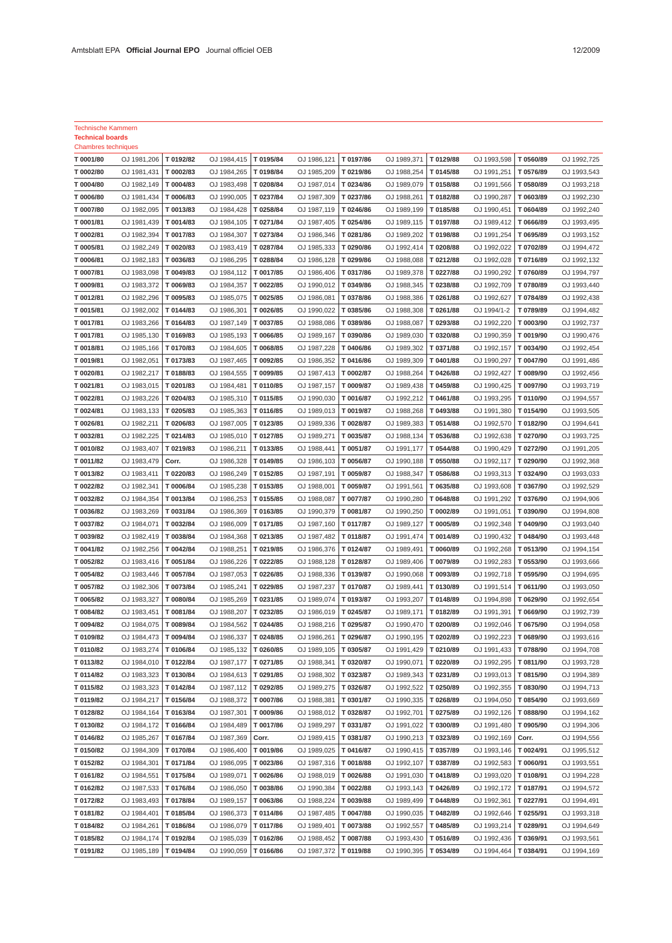Technische Kammern

| <b>Technical boards</b>    |                            |                       |                            |                        |                            |                        |                            |                        |                            |                        |                            |
|----------------------------|----------------------------|-----------------------|----------------------------|------------------------|----------------------------|------------------------|----------------------------|------------------------|----------------------------|------------------------|----------------------------|
| <b>Chambres techniques</b> |                            |                       |                            |                        |                            |                        |                            |                        |                            |                        |                            |
| T 0001/80                  | OJ 1981,206                | T 0192/82             | OJ 1984,415                | T 0195/84              | OJ 1986,121                | T 0197/86              | OJ 1989,371                | T 0129/88              | OJ 1993,598                | T 0560/89              | OJ 1992,725                |
| T 0002/80                  | OJ 1981,431                | T 0002/83             | OJ 1984,265                | T 0198/84              | OJ 1985,209                | T 0219/86              | OJ 1988,254                | T 0145/88              | OJ 1991,251                | T 0576/89              | OJ 1993,543                |
| T 0004/80                  | OJ 1982,149                | T 0004/83             | OJ 1983,498                | T0208/84               | OJ 1987,014                | T 0234/86              | OJ 1989,079                | T 0158/88              | OJ 1991,566                | T 0580/89              | OJ 1993,218                |
| T 0006/80                  | OJ 1981,434                | T 0006/83             | OJ 1990,005                | T 0237/84              | OJ 1987,309                | T 0237/86              | OJ 1988,261                | T 0182/88              | OJ 1990,287                | T 0603/89              | OJ 1992,230                |
| T 0007/80                  | OJ 1982,095                | T 0013/83             | OJ 1984,428                | T 0258/84              | OJ 1987,119                | T0246/86               | OJ 1989,199                | T 0185/88              | OJ 1990,451                | T 0604/89              | OJ 1992,240                |
| T 0001/81                  | OJ 1981,439                | T 0014/83             | OJ 1984,105                | T 0271/84              | OJ 1987,405                | T 0254/86              | OJ 1989,115                | T 0197/88              | OJ 1989,412                | T 0666/89              | OJ 1993,495                |
| T 0002/81                  | OJ 1982,394                | T 0017/83             | OJ 1984,307                | T 0273/84              | OJ 1986,346                | T 0281/86              | OJ 1989,202                | T 0198/88              | OJ 1991,254                | T 0695/89              | OJ 1993,152                |
| T 0005/81                  | OJ 1982,249                | T 0020/83             | OJ 1983,419                | T 0287/84              | OJ 1985,333                | T 0290/86              | OJ 1992,414                | T 0208/88              | OJ 1992,022                | T 0702/89              | OJ 1994,472                |
| T 0006/81                  | OJ 1982,183                | T 0036/83             | OJ 1986,295                | T 0288/84              | OJ 1986,128                | T 0299/86              | OJ 1988,088                | T 0212/88              | OJ 1992,028                | T 0716/89              | OJ 1992,132                |
| T 0007/81                  | OJ 1983,098                | T 0049/83             | OJ 1984,112                | T 0017/85              | OJ 1986,406                | T 0317/86              | OJ 1989,378                | T 0227/88              | OJ 1990,292                | T 0760/89              | OJ 1994,797                |
| T 0009/81                  | OJ 1983,372                | T 0069/83             | OJ 1984,357                | T 0022/85              | OJ 1990,012                | T 0349/86              | OJ 1988,345                | T 0238/88              | OJ 1992,709                | T 0780/89              | OJ 1993,440                |
| T 0012/81                  | OJ 1982,296                | T 0095/83             | OJ 1985,075                | T 0025/85              | OJ 1986,081                | T 0378/86              | OJ 1988,386                | T 0261/88              | OJ 1992,627                | T 0784/89              | OJ 1992,438                |
| T 0015/81                  | OJ 1982,002                | T 0144/83             | OJ 1986,301                | T 0026/85              | OJ 1990,022                | T 0385/86              | OJ 1988,308                | T 0261/88              | OJ 1994/1-2                | T0789/89<br>T 0003/90  | OJ 1994,482                |
| T 0017/81<br>T 0017/81     | OJ 1983,266<br>OJ 1985,130 | T0164/83<br>T 0169/83 | OJ 1987,149                | T 0037/85<br>T 0066/85 | OJ 1988,086                | T 0389/86<br>T 0390/86 | OJ 1988,087<br>OJ 1989,030 | T 0293/88              | OJ 1992,220<br>OJ 1990,359 | T 0019/90              | OJ 1992,737                |
|                            | OJ 1985,166                | T 0170/83             | OJ 1985,193<br>OJ 1984,605 | T 0068/85              | OJ 1989,167                | T 0406/86              | OJ 1989,302                | T 0320/88              | OJ 1992,157                | T 0034/90              | OJ 1990,476                |
| T 0018/81<br>T 0019/81     | OJ 1982,051                | T 0173/83             | OJ 1987,465                | T 0092/85              | OJ 1987,228<br>OJ 1986,352 | T0416/86               | OJ 1989,309                | T 0371/88<br>T 0401/88 | OJ 1990,297                | T 0047/90              | OJ 1992,454<br>OJ 1991,486 |
| T 0020/81                  | OJ 1982,217                | T 0188/83             | OJ 1984,555                | T 0099/85              | OJ 1987,413                | T 0002/87              | OJ 1988,264                | T 0426/88              | OJ 1992,427                | T 0089/90              | OJ 1992,456                |
| T 0021/81                  | OJ 1983,015                | T 0201/83             | OJ 1984,481                | T 0110/85              | OJ 1987,157                | T 0009/87              | OJ 1989,438                | T 0459/88              | OJ 1990,425                | T 0097/90              | OJ 1993,719                |
| T 0022/81                  | OJ 1983,226                | T 0204/83             | OJ 1985,310                | T 0115/85              | OJ 1990,030                | T 0016/87              | OJ 1992,212                | T 0461/88              | OJ 1993,295                | T 0110/90              | OJ 1994,557                |
| T 0024/81                  | OJ 1983,133                | T 0205/83             | OJ 1985,363                | T 0116/85              | OJ 1989,013                | T 0019/87              | OJ 1988,268                | T 0493/88              | OJ 1991,380                | T 0154/90              | OJ 1993,505                |
| T 0026/81                  | OJ 1982,211                | T 0206/83             | OJ 1987,005                | T 0123/85              | OJ 1989,336                | T 0028/87              | OJ 1989,383                | T 0514/88              | OJ 1992,570                | T 0182/90              | OJ 1994,641                |
| T 0032/81                  | OJ 1982,225                | T0214/83              | OJ 1985,010                | T 0127/85              | OJ 1989,271                | T 0035/87              | OJ 1988,134                | T 0536/88              | OJ 1992,638                | T 0270/90              | OJ 1993,725                |
| T 0010/82                  | OJ 1983,407                | T0219/83              | OJ 1986,211                | T 0133/85              | OJ 1988,441                | T 0051/87              | OJ 1991,177                | T 0544/88              | OJ 1990,429                | T0272/90               | OJ 1991,205                |
| T 0011/82                  | OJ 1983,479                | Corr.                 | OJ 1986,328                | T 0149/85              | OJ 1986,103                | T 0056/87              | OJ 1990,188                | T 0550/88              | OJ 1992,117                | T 0290/90              | OJ 1992,368                |
| T 0013/82                  | OJ 1983,411                | T 0220/83             | OJ 1986,249                | T 0152/85              | OJ 1987,191                | T 0059/87              | OJ 1988,347                | T 0586/88              | OJ 1993,313                | T 0324/90              | OJ 1993,033                |
| T 0022/82                  | OJ 1982,341                | T 0006/84             | OJ 1985,238                | T 0153/85              | OJ 1988,001                | T 0059/87              | OJ 1991,561                | T 0635/88              | OJ 1993,608                | T0367/90               | OJ 1992,529                |
| T 0032/82                  | OJ 1984,354                | T 0013/84             | OJ 1986,253                | T 0155/85              | OJ 1988,087                | T 0077/87              | OJ 1990,280                | T 0648/88              | OJ 1991,292                | T 0376/90              | OJ 1994,906                |
| T 0036/82                  | OJ 1983,269                | T 0031/84             | OJ 1986,369                | T 0163/85              | OJ 1990,379                | T 0081/87              | OJ 1990,250                | T 0002/89              | OJ 1991,051                | T 0390/90              | OJ 1994,808                |
| T 0037/82                  | OJ 1984,071                | T 0032/84             | OJ 1986,009                | T 0171/85              | OJ 1987,160                | T 0117/87              | OJ 1989,127                | T 0005/89              | OJ 1992,348                | T 0409/90              | OJ 1993,040                |
| T 0039/82                  | OJ 1982,419                | T 0038/84             | OJ 1984,368                | T 0213/85              | OJ 1987,482                | T 0118/87              | OJ 1991,474                | T 0014/89              | OJ 1990,432                | T 0484/90              | OJ 1993,448                |
| T 0041/82                  | OJ 1982,256                | T 0042/84             | OJ 1988,251                | T 0219/85              | OJ 1986,376                | T 0124/87              | OJ 1989,491                | T 0060/89              | OJ 1992,268                | T 0513/90              | OJ 1994,154                |
| T 0052/82                  | OJ 1983,416                | T 0051/84             | OJ 1986,226                | T 0222/85              | OJ 1988,128                | T 0128/87              | OJ 1989,406                | T 0079/89              | OJ 1992,283                | T 0553/90              | OJ 1993,666                |
| T 0054/82                  | OJ 1983,446                | T 0057/84             | OJ 1987,053                | T 0226/85              | OJ 1988,336                | T 0139/87              | OJ 1990,068                | T 0093/89              | OJ 1992,718                | T 0595/90              | OJ 1994,695                |
| T 0057/82                  | OJ 1982,306                | T 0073/84             | OJ 1985,241                | T 0229/85              | OJ 1987,237                | T 0170/87              | OJ 1989,441                | T 0130/89              | OJ 1991,514                | T0611/90               | OJ 1993,050                |
| T 0065/82                  | OJ 1983,327                | T 0080/84             | OJ 1985,269                | T 0231/85              | OJ 1989,074                | T 0193/87              | OJ 1993,207                | T 0148/89              | OJ 1994,898                | T 0629/90              | OJ 1992,654                |
| T 0084/82                  | OJ 1983,451                | T 0081/84             | OJ 1988,207                | T 0232/85              | OJ 1986,019                | T 0245/87              | OJ 1989.171                | T 0182/89              | OJ 1991,391                | T 0669/90              | OJ 1992,739                |
| T 0094/82                  | OJ 1984,075                | T 0089/84             | OJ 1984,562                | T0244/85               | OJ 1988,216   T 0295/87    |                        | OJ 1990,470   T 0200/89    |                        | OJ 1992,046   T 0675/90    |                        | OJ 1994,058                |
| T 0109/82                  | OJ 1984,473                | T0094/84              | OJ 1986,337                | T0248/85               | OJ 1986,261                | T 0296/87              | OJ 1990,195   T 0202/89    |                        | OJ 1992,223                | T 0689/90              | OJ 1993,616                |
| T 0110/82                  | OJ 1983,274                | T 0106/84             | OJ 1985,132                | T0260/85               | OJ 1989,105                | T 0305/87              | OJ 1991,429                | T 0210/89              | OJ 1991,433                | T 0788/90              | OJ 1994,708                |
| T 0113/82                  | OJ 1984,010                | T 0122/84             | OJ 1987,177                | T 0271/85              | OJ 1988,341                | T 0320/87              | OJ 1990,071                | T 0220/89              | OJ 1992,295                | T 0811/90              | OJ 1993,728                |
| T 0114/82                  | OJ 1983,323                | T 0130/84             | OJ 1984,613                | T 0291/85              | OJ 1988,302                | T 0323/87              | OJ 1989,343                | T 0231/89              | OJ 1993,013                | T 0815/90              | OJ 1994,389                |
| T 0115/82                  | OJ 1983,323                | T 0142/84             | OJ 1987,112                | T 0292/85              | OJ 1989,275                | T 0326/87              | OJ 1992,522                | T 0250/89              | OJ 1992,355                | T 0830/90              | OJ 1994,713                |
| T 0119/82                  | OJ 1984,217                | T 0156/84             | OJ 1988,372                | T 0007/86              | OJ 1988,381                | T 0301/87              | OJ 1990,335                | T 0268/89              | OJ 1994,050                | T 0854/90              | OJ 1993,669                |
| T 0128/82                  | OJ 1984,164                | T 0163/84             | OJ 1987,301                | T 0009/86              | OJ 1988,012                | T 0328/87              | OJ 1992,701                | T 0275/89              | OJ 1992,126                | T 0888/90              | OJ 1994,162                |
| T 0130/82                  | OJ 1984,172                | T0166/84              | OJ 1984,489                | T 0017/86              | OJ 1989,297                | T 0331/87              | OJ 1991,022                | T 0300/89              | OJ 1991,480                | T 0905/90              | OJ 1994,306                |
| T 0146/82                  | OJ 1985,267                | T 0167/84             | OJ 1987,369                | Corr.                  | OJ 1989,415                | T 0381/87              | OJ 1990,213                | T 0323/89              | OJ 1992,169                | Corr.                  | OJ 1994,556                |
| T 0150/82                  | OJ 1984,309                | T 0170/84             | OJ 1986,400                | T 0019/86              | OJ 1989,025                | T 0416/87              | OJ 1990,415                | T 0357/89              | OJ 1993,146                | T 0024/91              | OJ 1995,512                |
| T 0152/82                  | OJ 1984,301                | T 0171/84             | OJ 1986,095                | T 0023/86              | OJ 1987,316                | T 0018/88              | OJ 1992,107                | T 0387/89              | OJ 1992,583                | T 0060/91              | OJ 1993,551                |
| T 0161/82                  | OJ 1984,551                | T 0175/84             | OJ 1989,071                | T 0026/86              | OJ 1988,019                | T 0026/88              | OJ 1991,030                | T 0418/89              | OJ 1993,020                | T 0108/91              | OJ 1994,228                |
| T 0162/82                  | OJ 1987,533                | T 0176/84             | OJ 1986,050                | T 0038/86              | OJ 1990,384                | T 0022/88              | OJ 1993,143                | T0426/89               | OJ 1992,172                | T 0187/91              | OJ 1994,572                |
| T 0172/82                  | OJ 1983,493                | T 0178/84             | OJ 1989,157                | T 0063/86              | OJ 1988,224                | T 0039/88              | OJ 1989,499                | T 0448/89              | OJ 1992,361                | T 0227/91              | OJ 1994,491                |
| T 0181/82                  | OJ 1984,401                | T 0185/84             | OJ 1986,373                | T 0114/86              | OJ 1987,485                | T 0047/88              | OJ 1990,035                | T 0482/89              | OJ 1992,646                | T 0255/91              | OJ 1993,318                |
| T 0184/82                  | OJ 1984,261                | T 0186/84             | OJ 1986,079                | T 0117/86              | OJ 1989,401                | T 0073/88              | OJ 1992,557                | T 0485/89              | OJ 1993,214                | T 0289/91              | OJ 1994,649                |
| T 0185/82<br>T 0191/82     | OJ 1984,174<br>OJ 1985,189 | T 0192/84<br>T0194/84 | OJ 1985,039                | T0162/86<br>T 0166/86  | OJ 1988,452                | T 0087/88<br>T 0119/88 | OJ 1993,430<br>OJ 1990,395 | T 0516/89<br>T 0534/89 | OJ 1992,436<br>OJ 1994,464 | T 0369/91<br>T 0384/91 | OJ 1993,561<br>OJ 1994,169 |
|                            |                            |                       | OJ 1990,059                |                        | OJ 1987,372                |                        |                            |                        |                            |                        |                            |